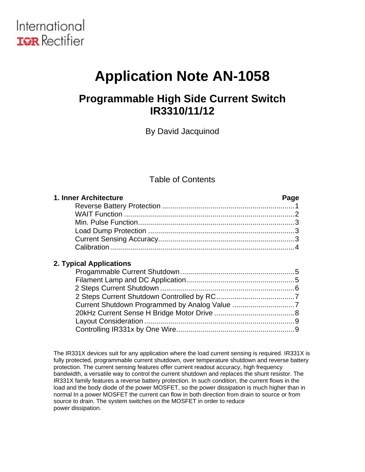

# **Application Note AN-1058**

# **Programmable High Side Current Switch IR3310/11/12**

By David Jacquinod

## Table of Contents

| 1. Inner Architecture | Page |
|-----------------------|------|
|                       |      |
|                       |      |
|                       |      |
|                       |      |
|                       |      |
|                       |      |

## **2. Typical Applications**

The IR331X devices suit for any application where the load current sensing is required. IR331X is fully protected, programmable current shutdown, over temperature shutdown and reverse battery protection. The current sensing features offer current readout accuracy, high frequency bandwidth, a versatile way to control the current shutdown and replaces the shunt resistor. The IR331X family features a reverse battery protection. In such condition, the current flows in the load and the body diode of the power MOSFET, so the power dissipation is much higher than in normal In a power MOSFET the current can flow in both direction from drain to source or from source to drain. The system switches on the MOSFET in order to reduce power dissipation.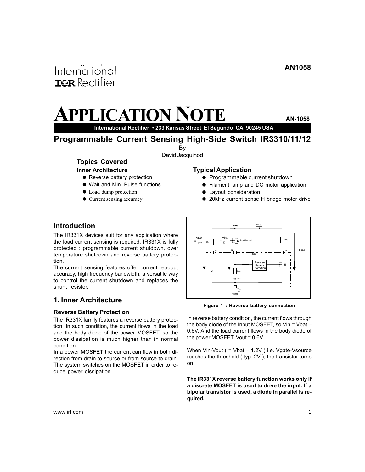# <span id="page-1-0"></span>International **ISR** Rectifier

# **APPLICATION NOTE AN-1058**

**International Rectifier** • **233 Kansas Street El Segundo CA 90245 USA**

**Programmable Current Sensing High-Side Switch IR3310/11/12**

By

David Jacquinod

#### **Topics Covered Inner Architecture**

- 
- **•** Reverse battery protection Wait and Min. Pulse functions
- 
- Load dump protection
- Current sensing accuracy

#### **Typical Application**

- Programmable current shutdown
- **•** Filament lamp and DC motor application
- Lavout consideration
- 20kHz current sense H bridge motor drive

## **Introduction**

The IR331X devices suit for any application where the load current sensing is required. IR331X is fully protected : programmable current shutdown, over temperature shutdown and reverse battery protection.

The current sensing features offer current readout accuracy, high frequency bandwidth, a versatile way to control the current shutdown and replaces the shunt resistor.

## **1. Inner Architecture**

#### **Reverse Battery Protection**

The IR331X family features a reverse battery protection. In such condition, the current flows in the load and the body diode of the power MOSFET, so the power dissipation is much higher than in normal condition.

In a power MOSFET the current can flow in both direction from drain to source or from source to drain. The system switches on the MOSFET in order to reduce power dissipation.



**Figure 1 : Reverse battery connection**

In reverse battery condition, the current flows through the body diode of the Input MOSFET, so Vin = Vbat -0.6V. And the load current flows in the body diode of the power MOSFET, Vout = 0.6V

When Vin-Vout ( = Vbat - 1.2V ) i.e. Vgate-Vsource reaches the threshold ( typ. 2V ), the transistor turns on.

**The IR331X reverse battery function works only if a discrete MOSFET is used to drive the input. If a bipolar transistor is used, a diode in parallel is required.**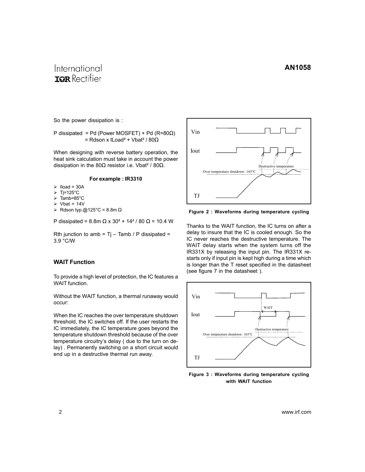# <span id="page-2-0"></span>International **TOR** Rectifier

So the power dissipation is :

P dissipated = Pd (Power MOSFET) + Pd (R=80Ω) = Rdson x ILoad² + Vbat² / 80Ω

When designing with reverse battery operation, the heat sink calculation must take in account the power dissipation in the 80 $Ω$  resistor i.e. Vbat<sup>2</sup> / 80 $Ω$ .

#### **For example : IR3310**

- $\triangleright$  Iload = 30A
- $\triangleright$  Tj=125°C
- $\triangleright$  Tamb=85°C
- $\triangleright$  Vbat = 14V
- ¾ Rdson typ.@125°C = 8.8m Ω

P dissipated = 8.8m Ω x 30<sup>2</sup> + 14<sup>2</sup> / 80 Ω = 10.4 W

Rth junction to amb =  $Ti - Tamb / P$  dissipated = 3.9 °C/W

### **WAIT Function**

To provide a high level of protection, the IC features a WAIT function.

Without the WAIT function, a thermal runaway would occur:

When the IC reaches the over temperature shutdown threshold, the IC switches off. If the user restarts the IC immediately, the IC temperature goes beyond the temperature shutdown threshold because of the over temperature circuitry's delay ( due to the turn on delay) . Permanently switching on a short circuit would end up in a destructive thermal run away.



**Figure 2 : Waveforms during temperature cycling**

Thanks to the WAIT function, the IC turns on after a delay to insure that the IC is cooled enough. So the IC never reaches the destructive temperature. The WAIT delay starts when the system turns off the IR331X by releasing the input pin. The IR331X restarts only if input pin is kept high during a time which is longer than the T reset specified in the datasheet (see figure 7 in the datasheet ).



**Figure 3 : Waveforms during temperature cycling with WAIT function**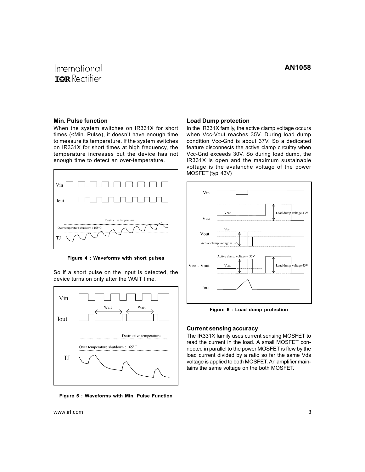# <span id="page-3-0"></span>International **ISR** Rectifier

#### **Min. Pulse function**

When the system switches on IR331X for short times (<Min. Pulse), it doesn't have enough time to measure its temperature. If the system switches on IR331X for short times at high frequency, the temperature increases but the device has not enough time to detect an over-temperature.



**Figure 4 : Waveforms with short pulses**

So if a short pulse on the input is detected, the device turns on only after the WAIT time.



**Figure 5 : Waveforms with Min. Pulse Function**

#### **Load Dump protection**

In the IR331X family, the active clamp voltage occurs when Vcc-Vout reaches 35V. During load dump condition Vcc-Gnd is about 37V. So a dedicated feature disconnects the active clamp circuitry when Vcc-Gnd exceeds 30V. So during load dump, the IR331X is open and the maximum sustainable voltage is the avalanche voltage of the power MOSFET (typ. 43V)



**Figure 6 : Load dump protection**

#### **Current sensing accuracy**

The IR331X family uses current sensing MOSFET to read the current in the load. A small MOSFET connected in parallel to the power MOSFET is flew by the load current divided by a ratio so far the same Vds voltage is applied to both MOSFET. An amplifier maintains the same voltage on the both MOSFET.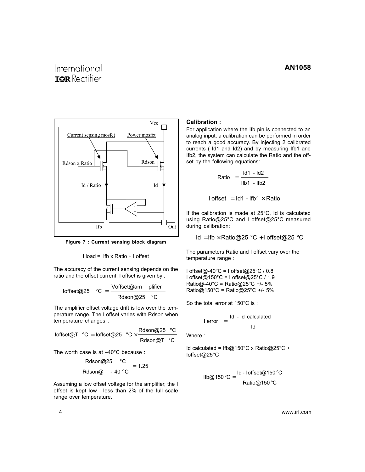# <span id="page-4-0"></span>International **TOR** Rectifier



**Figure 7 : Current sensing block diagram**

$$
1
$$
 load = Ifb x Ratio + I offset

The accuracy of the current sensing depends on the ratio and the offset current. I offset is given by :

$$
Inffset@25 °C = \frac{\text{Voffset@am \ plifier}}{\text{Rdson@25 °C}}
$$

The amplifier offset voltage drift is low over the temperature range. The I offset varies with Rdson when temperature changes :

$$
\text{Ioffset@T} \text{ °C} = \text{Ioffset@25} \text{ °C} \times \frac{\text{Rdson@25} \text{ °C}}{\text{Rdson@T} \text{ °C}}
$$

The worth case is at –40°C because :

$$
\frac{\text{Rdson@25} \quad \text{°C}}{\text{Rdson@} \quad \text{--} \quad 40 \text{ °C}} = 1.25
$$

Assuming a low offset voltage for the amplifier, the I offset is kept low : less than 2% of the full scale range over temperature.

#### **Calibration :**

For application where the Ifb pin is connected to an analog input, a calibration can be performed in order to reach a good accuracy. By injecting 2 calibrated currents ( Id1 and Id2) and by measuring Ifb1 and Ifb2, the system can calculate the Ratio and the offset by the following equations:

$$
Ratio = \frac{Id1 - Id2}{Ifb1 - Ifb2}
$$

 $I$  offset =  $Id1 - IfD1 \times Ratio$ 

If the calibration is made at 25°C, Id is calculated using Ratio@25°C and I offset@25°C measured during calibration:

Id = Ifb  $\times$  Ratio@25 °C + I offset@25 °C

The parameters Ratio and I offset vary over the temperature range :

I offset@-40°C = I offset@25°C / 0.8 I offset@150°C = I offset@25°C / 1.9 Ratio@-40°C = Ratio@25°C +/- 5% Ratio@150°C = Ratio@25°C +/- 5%

So the total error at 150°C is :

$$
I error = \frac{Id - Id calculated}{Id}
$$

Where :

Id calculated = Ifb@150°C x Ratio@25°C + Ioffset@25°C

If 
$$
0^\circ \text{C}
$$
 =  $\frac{\text{Id} - \text{I offset@150} \cdot \text{C}}{\text{Ratio@150} \cdot \text{C}}$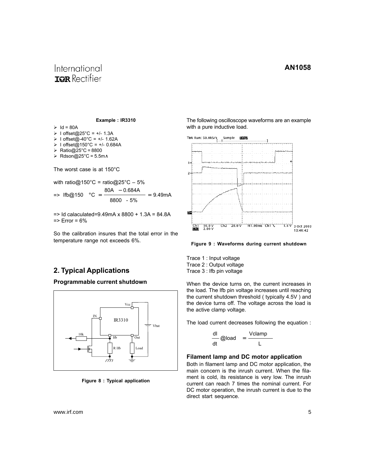# <span id="page-5-0"></span>International **TOR** Rectifier

**Example : IR3310**

 $\geq$  Id = 80A

- ¾ I offset@25°C = +/- 1.3A
- $\triangleright$  1 offset@-40°C = +/- 1.62A
- ¾ I offset@150°C = +/- 0.684A
- $\triangleright$  Ratio@25°C = 8800
- ¾ Rdson@25°C = 5.5m∧

The worst case is at 150°C

with ratio@150°C = ratio@25°C - 5%

$$
\Rightarrow \text{ If } b \textcircled{2} 150 \quad \text{°C} = \frac{80A - 0.684A}{8800 - 5\%} = 9.49 \text{ mA}
$$

 $\Rightarrow$  Id calaculated=9.49mA x 8800 + 1.3A = 84.8A  $\Rightarrow$  Error = 6%

So the calibration insures that the total error in the temperature range not exceeds 6%.

## **2. Typical Applications**

#### **Programmable current shutdown**



**Figure 8 : Typical application**

The following oscilloscope waveforms are an example with a pure inductive load.



**Figure 9 : Waveforms during current shutdown**

Trace 1 : Input voltage Trace 2 : Output voltage Trace 3 : Ifb pin voltage

When the device turns on, the current increases in the load. The Ifb pin voltage increases until reaching the current shutdown threshold ( typically 4.5V ) and the device turns off. The voltage across the load is the active clamp voltage.

The load current decreases following the equation :

$$
\frac{dl}{dt} \text{Qload} = \frac{Vclamp}{L}
$$

#### **Filament lamp and DC motor application**

Both in filament lamp and DC motor application, the main concern is the inrush current. When the filament is cold, its resistance is very low. The inrush current can reach 7 times the nominal current. For DC motor operation, the inrush current is due to the direct start sequence.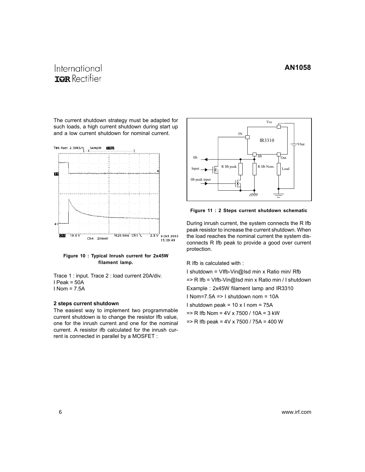# <span id="page-6-0"></span>International **TOR** Rectifier

The current shutdown strategy must be adapted for such loads, a high current shutdown during start up and a low current shutdown for nominal current.



**Figure 10 : Typical Inrush current for 2x45W filament lamp.**

Trace 1 : input. Trace 2 : load current 20A/div. I Peak = 50A  $I$  Nom =  $7.5A$ 

#### **2 steps current shutdown**

The easiest way to implement two programmable current shutdown is to change the resistor Ifb value, one for the inrush current and one for the nominal current. A resistor ifb calculated for the inrush current is connected in parallel by a MOSFET :



**Figure 11 : 2 Steps current shutdown schematic**

During inrush current, the system connects the R Ifb peak resistor to increase the current shutdown. When the load reaches the nominal current the system disconnects R Ifb peak to provide a good over current protection.

R Ifb is calculated with :

I shutdown = VIfb-Vin@Isd min x Ratio min/ Rfb => R Ifb = VIfb-Vin@Isd min x Ratio min / I shutdown Example : 2x45W filament lamp and IR3310 I Nom=7.5A => I shutdown nom = 10A I shutdown peak =  $10 \times 1$  nom =  $75A$  $\Rightarrow$  R Ifb Nom = 4V x 7500 / 10A = 3 kW  $\Rightarrow$  R Ifb peak = 4V x 7500 / 75A = 400 W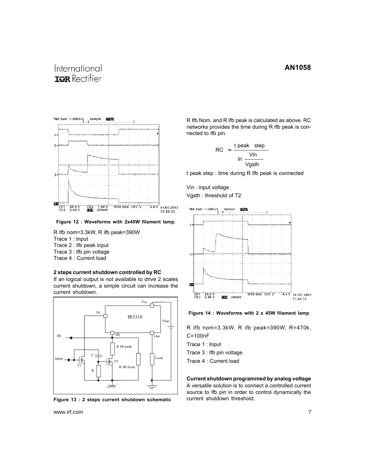# <span id="page-7-0"></span>International **TOR** Rectifier



**Figure 12 : Waveforms with 2x45W filament lamp.**

R Ifb nom=3.3kW, R ifb peak=390W Trace 1 : Input Trace 2 : Ifb peak input Trace 3 : Ifb pin voltage Trace 4 : Current load

#### **2 steps current shutdown controlled by RC**

If an logical output is not available to drive 2 scales current shutdown, a simple circuit can increase the current shutdown.



**Figure 13 : 2 steps current shutdown schematic**

www.irf.com 7

R Ifb Nom. and R Ifb peak is calculated as above. RC networks provides the time during R Ifb peak is connected to Ifb pin.

$$
RC = \frac{t \text{ peak step}}{\ln \frac{\text{Vin}}{\text{Vgsth}}}
$$

t peak step : time during R Ifb peak is connected

Vin : input voltage Vgsth : threshold of T2



**Figure 14 : Waveforms with 2 x 45W filament lamp**

R Ifb nom=3.3kW, R ifb peak=390W, R=470k, C=100nF

Trace 1 : Input

Trace 3 : Ifb pin voltage

Trace 4 : Current load

**Current shutdown programmed by analog voltage** A versatile solution is to connect a controlled current source to Ifb pin in order to control dynamically the current shutdown threshold.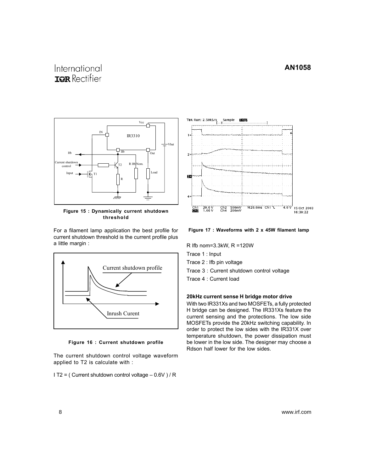# <span id="page-8-0"></span>International **TOR** Rectifier



**Figure 15 : Dynamically current shutdown threshold**

For a filament lamp application the best profile for current shutdown threshold is the current profile plus a little margin :



**Figure 16 : Current shutdown profile**

The current shutdown control voltage waveform applied to T2 is calculate with :

I T2 = ( Current shutdown control voltage – 0.6V ) / R



**Figure 17 : Waveforms with 2 x 45W filament lamp**

R Ifb nom=3.3kW, R =120W

Trace 1 : Input

Trace 2 : Ifb pin voltage

Trace 3 : Current shutdown control voltage

Trace 4 : Current load

#### **20kHz current sense H bridge motor drive**

With two IR331Xs and two MOSFETs, a fully protected H bridge can be designed. The IR331Xs feature the current sensing and the protections. The low side MOSFETs provide the 20kHz switching capability. In order to protect the low sides with the IR331X over temperature shutdown, the power dissipation must be lower in the low side. The designer may choose a Rdson half lower for the low sides.